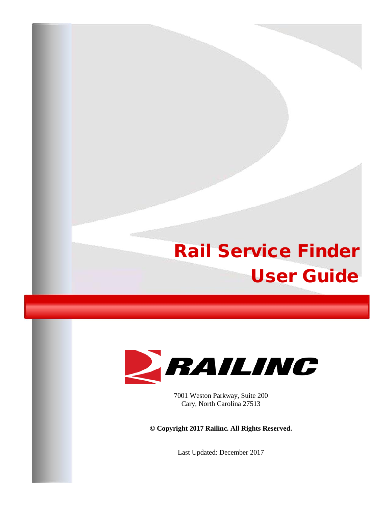# Rail Service Finder User Guide



7001 Weston Parkway, Suite 200 Cary, North Carolina 27513

**© Copyright 2017 Railinc. All Rights Reserved.**

Last Updated: December 2017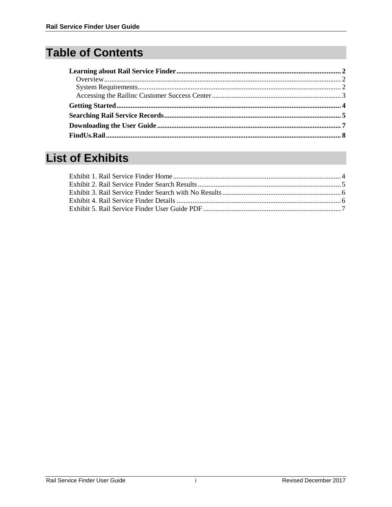# **Table of Contents**

# **List of Exhibits**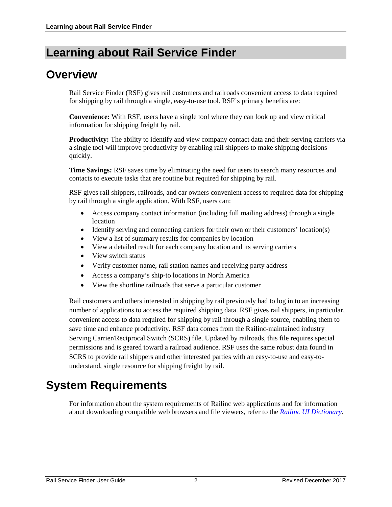### <span id="page-2-0"></span>**Learning about Rail Service Finder**

#### <span id="page-2-1"></span>**Overview**

Rail Service Finder (RSF) gives rail customers and railroads convenient access to data required for shipping by rail through a single, easy-to-use tool. RSF's primary benefits are:

**Convenience:** With RSF, users have a single tool where they can look up and view critical information for shipping freight by rail.

**Productivity:** The ability to identify and view company contact data and their serving carriers via a single tool will improve productivity by enabling rail shippers to make shipping decisions quickly.

**Time Savings:** RSF saves time by eliminating the need for users to search many resources and contacts to execute tasks that are routine but required for shipping by rail.

RSF gives rail shippers, railroads, and car owners convenient access to required data for shipping by rail through a single application. With RSF, users can:

- Access company contact information (including full mailing address) through a single location
- Identify serving and connecting carriers for their own or their customers' location(s)
- View a list of summary results for companies by location
- View a detailed result for each company location and its serving carriers
- View switch status
- Verify customer name, rail station names and receiving party address
- Access a company's ship-to locations in North America
- View the shortline railroads that serve a particular customer

Rail customers and others interested in shipping by rail previously had to log in to an increasing number of applications to access the required shipping data. RSF gives rail shippers, in particular, convenient access to data required for shipping by rail through a single source, enabling them to save time and enhance productivity. RSF data comes from the Railinc-maintained industry Serving Carrier/Reciprocal Switch (SCRS) file. Updated by railroads, this file requires special permissions and is geared toward a railroad audience. RSF uses the same robust data found in SCRS to provide rail shippers and other interested parties with an easy-to-use and easy-tounderstand, single resource for shipping freight by rail.

#### <span id="page-2-2"></span>**System Requirements**

For information about the system requirements of Railinc web applications and for information about downloading compatible web browsers and file viewers, refer to the *[Railinc UI Dictionary](https://www.railinc.com/rportal/documents/18/289202/Railinc_UI_Dictionary.pdf)*.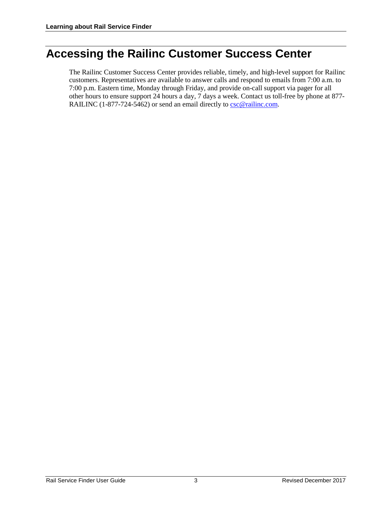#### <span id="page-3-0"></span>**Accessing the Railinc Customer Success Center**

The Railinc Customer Success Center provides reliable, timely, and high-level support for Railinc customers. Representatives are available to answer calls and respond to emails from 7:00 a.m. to 7:00 p.m. Eastern time, Monday through Friday, and provide on-call support via pager for all other hours to ensure support 24 hours a day, 7 days a week. Contact us toll-free by phone at 877 RAILINC (1-877-724-5462) or send an email directly t[o csc@railinc.com.](mailto:csc@railinc.com)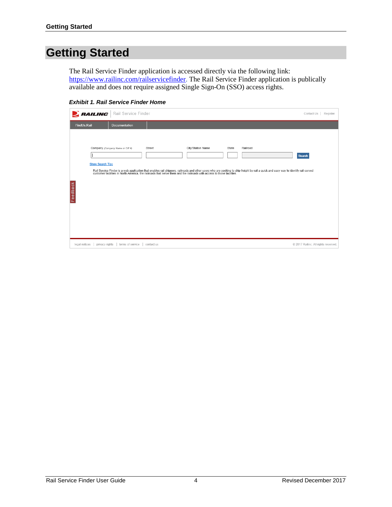# <span id="page-4-0"></span>**Getting Started**

The Rail Service Finder application is accessed directly via the following link: [https://www.railinc.com/railservicefinder.](https://www.railinc.com/railservicefinder) The Rail Service Finder application is publically available and does not require assigned Single Sign-On (SSO) access rights.

<span id="page-4-1"></span>*Exhibit 1. Rail Service Finder Home* 

| RAILING       | Rail Service Finder                                        |            |                   |                   | Contact Us<br>Register                                                                                                                                                                                                                     |
|---------------|------------------------------------------------------------|------------|-------------------|-------------------|--------------------------------------------------------------------------------------------------------------------------------------------------------------------------------------------------------------------------------------------|
| FindUs.Rail   | Documentation                                              |            |                   |                   |                                                                                                                                                                                                                                            |
| Feedback      | Company (Company Name or CIF #)<br><b>Show Search Tips</b> | Street     | City/Station Name | State<br>Railroad | Search<br>Rail Service Finder is a web application that enables rail shippers, railroads and other users who are seeking to ship freight by rail a quick and easy way to identify rail-served<br>customer facilities in North America, the |
| legal notices | terms of service<br>privacy rights                         | contact us |                   |                   | @ 2017 Railinc. All rights reserved.                                                                                                                                                                                                       |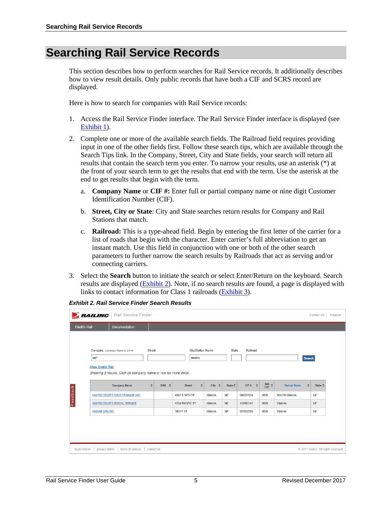#### <span id="page-5-0"></span>**Searching Rail Service Records**

This section describes how to perform searches for Rail Service records. It additionally describes how to view result details. Only public records that have both a CIF and SCRS record are displayed.

Here is how to search for companies with Rail Service records:

- 1. Access the Rail Service Finder interface. The Rail Service Finder interface is displayed (see [Exhibit 1\)](#page-4-1).
- 2. Complete one or more of the available search fields. The Railroad field requires providing input in one of the other fields first. Follow these search tips, which are available through the Search Tips link. In the Company, Street, City and State fields, your search will return all results that contain the search term you enter. To narrow your results, use an asterisk (\*) at the front of your search term to get the results that end with the term. Use the asterisk at the end to get results that begin with the term.
	- a. **Company Name** or **CIF #:** Enter full or partial company name or nine digit Customer Identification Number (CIF).
	- b. **Street, City or State**: City and State searches return results for Company and Rail Stations that match.
	- c. **Railroad:** This is a type-ahead field. Begin by entering the first letter of the carrier for a list of roads that begin with the character. Enter carrier's full abbreviation to get an instant match. Use this field in conjunction with one or both of the other search parameters to further narrow the search results by Railroads that act as serving and/or connecting carriers.
- 3. Select the **Search** button to initiate the search or select Enter/Return on the keyboard. Search results are displayed (**Exhibit 2**). Note, if no search results are found, a page is displayed with links to contact information for Class 1 railroads [\(Exhibit 3\)](#page-6-0).

<span id="page-5-1"></span>

|             | RAILING<br>Rail Service Finder<br>Contact Us<br>Register                                                  |                                                                                                                            |             |       |                                           |           |                          |                                    |                                                                              |                                    |                 |  |
|-------------|-----------------------------------------------------------------------------------------------------------|----------------------------------------------------------------------------------------------------------------------------|-------------|-------|-------------------------------------------|-----------|--------------------------|------------------------------------|------------------------------------------------------------------------------|------------------------------------|-----------------|--|
| FindUs.Rail |                                                                                                           | <b>Documentation</b>                                                                                                       |             |       |                                           |           |                          |                                    |                                                                              |                                    |                 |  |
| Feedback    | uni*<br><b>Show Search Tips</b>                                                                           | Company (Company Name or CIF #)<br>Showing 3 results. Click on company name or row for more detail.<br><b>Company Name</b> | Street<br>٠ | DBA ≎ | City/Station Name<br>omaha<br>÷<br>Street | ÷<br>City | State<br>State $\hat{w}$ | Railroad<br>$\ddot{\circ}$<br>CIF# | $\begin{smallmatrix} \text{Sub} & \bullet \\ \text{Loc} & \end{smallmatrix}$ | Search<br>÷<br><b>Station Name</b> | State $\hat{v}$ |  |
|             |                                                                                                           | UNITED STATES COLD STORAGE INC                                                                                             |             |       | 4302 S 30TH ST                            | OMAHA     | <b>NE</b>                | 066521524                          | 0000                                                                         | SOUTH OMAHA                        | NE              |  |
|             |                                                                                                           | <b>UNITED STATES POSTAL SERVICE</b>                                                                                        |             |       | 1124 PACIFIC ST                           | OMAHA     | <b>NE</b>                | 118683143                          | 0000                                                                         | OMAHA                              | <b>NE</b>       |  |
|             | <b>UNIVAR USA INC</b>                                                                                     |                                                                                                                            |             |       | 3002 F ST                                 | OMAHA     | <b>NE</b>                | 021632229                          | 0000                                                                         | OMAHA                              | <b>NE</b>       |  |
|             |                                                                                                           |                                                                                                                            |             |       |                                           |           |                          |                                    |                                                                              |                                    |                 |  |
|             | privacy rights<br>terms of service<br>@ 2017 Railinc. All rights reserved.<br>legal notices<br>contact us |                                                                                                                            |             |       |                                           |           |                          |                                    |                                                                              |                                    |                 |  |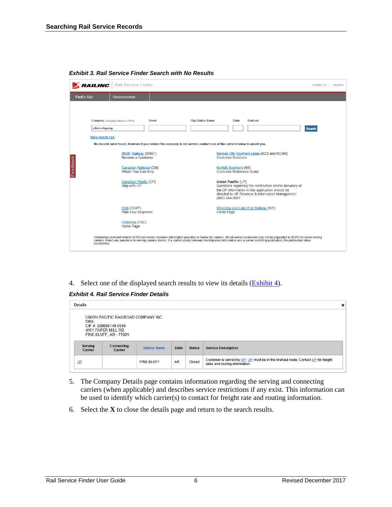|             |                                            | <b>RAILING</b>   Rail Service Finder                                                                   |                                                                                                                                      |                   |                                       |                                                                                       |                                                                                                                                                                                                                                   | Contact Us   Register |  |
|-------------|--------------------------------------------|--------------------------------------------------------------------------------------------------------|--------------------------------------------------------------------------------------------------------------------------------------|-------------------|---------------------------------------|---------------------------------------------------------------------------------------|-----------------------------------------------------------------------------------------------------------------------------------------------------------------------------------------------------------------------------------|-----------------------|--|
| FindUs.Rail |                                            | <b>Documentation</b>                                                                                   |                                                                                                                                      |                   |                                       |                                                                                       |                                                                                                                                                                                                                                   |                       |  |
|             | john's shipping<br><b>Show Search Tips</b> | Company (Company Name or CIF #)                                                                        | Street<br>No records were found, however if you believe the company is rail served, contact one of the carriers below to assist you. | City/Station Name |                                       | State                                                                                 | Railroad                                                                                                                                                                                                                          | <b>Search</b>         |  |
| Feedback    |                                            | <b>BNSF Railway (BNSF)</b><br>Become a Customer<br><b>Canadian National (CN)</b><br>Where You Can Ship |                                                                                                                                      |                   |                                       | <b>Customer Solutions</b><br><b>Norfolk Southern (NS)</b><br>Customer Reference Guide | Kansas City Southern Lines (KCS and KCSM)                                                                                                                                                                                         |                       |  |
|             |                                            | Canadian Pacific (CP)<br>Ship with CP                                                                  |                                                                                                                                      |                   | Union Pacific (UP)<br>(402) 544-3607. |                                                                                       | Questions regarding the clarification and/or accuracy of<br>the UP information in this application should be<br>directed to UP Revenue & Information Management                                                                   |                       |  |
|             |                                            | CSX (CSXT)<br>Plan Your Shipment                                                                       |                                                                                                                                      |                   | Home Page                             |                                                                                       | <b>Wheeling and Lake Erie Railway (WE)</b>                                                                                                                                                                                        |                       |  |
|             |                                            | Ferromex (FXE)<br>Home Page                                                                            |                                                                                                                                      |                   |                                       |                                                                                       |                                                                                                                                                                                                                                   |                       |  |
|             | precedence.                                |                                                                                                        |                                                                                                                                      |                   |                                       |                                                                                       | Information provided reflects SCRS rail served customer information provided to Railinc by carriers. All rail served customers may not be populated in SCRS for some serving<br>carriers. Direct any questions to serving carrier |                       |  |

<span id="page-6-0"></span>*Exhibit 3. Rail Service Finder Search with No Results*

4. Select one of the displayed search results to view its details  $(Exhibit 4)$ .

#### <span id="page-6-1"></span>*Exhibit 4. Rail Service Finder Details*

| <b>Details</b><br>×                                                                                                  |                       |                     |              |               |                                                                                                                      |  |  |  |  |
|----------------------------------------------------------------------------------------------------------------------|-----------------------|---------------------|--------------|---------------|----------------------------------------------------------------------------------------------------------------------|--|--|--|--|
| UNION PACIFIC RAILROAD COMPANY INC<br>DBA:<br>CIF #: 029686149-0000<br>4101 PAPER MILL RD<br>PINE BLUFF, AR - 71601. |                       |                     |              |               |                                                                                                                      |  |  |  |  |
| Serving<br>Carrier                                                                                                   | Connecting<br>Carrier | <b>Station Name</b> | <b>State</b> | <b>Status</b> | <b>Service Description</b>                                                                                           |  |  |  |  |
| UP                                                                                                                   |                       | <b>PINE BLUFF</b>   | AR           | Closed        | Customer is served by UP. UP must be in the linehaul route. Contact UP for freight<br>rates and routing information. |  |  |  |  |

- 5. The Company Details page contains information regarding the serving and connecting carriers (when applicable) and describes service restrictions if any exist. This information can be used to identify which carrier(s) to contact for freight rate and routing information.
- 6. Select the **X** to close the details page and return to the search results.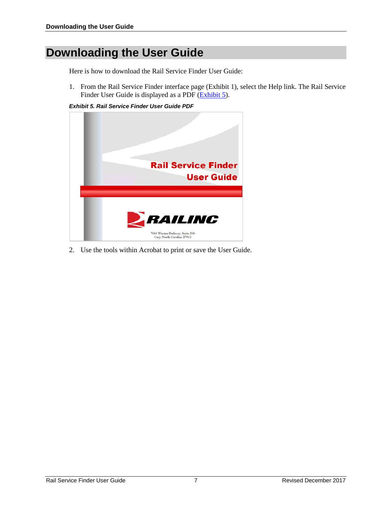## <span id="page-7-0"></span>**Downloading the User Guide**

Here is how to download the Rail Service Finder User Guide:

1. From the Rail Service Finder interface page [\(Exhibit 1\)](#page-4-1), select the Help link. The Rail Service Finder User Guide is displayed as a PDF [\(Exhibit 5\)](#page-7-1).

<span id="page-7-1"></span>*Exhibit 5. Rail Service Finder User Guide PDF*



2. Use the tools within Acrobat to print or save the User Guide.